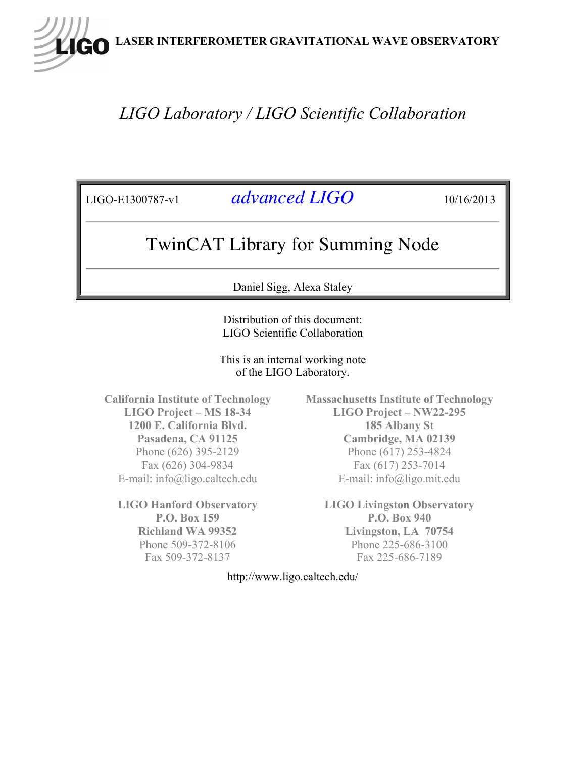**LASER INTERFEROMETER GRAVITATIONAL WAVE OBSERVATORY**

## *LIGO Laboratory / LIGO Scientific Collaboration*

LIGO-E1300787-v1 *advanced LIGO* 10/16/2013

## TwinCAT Library for Summing Node

Daniel Sigg, Alexa Staley

Distribution of this document: LIGO Scientific Collaboration

This is an internal working note of the LIGO Laboratory.

**California Institute of Technology LIGO Project – MS 18-34 1200 E. California Blvd. Pasadena, CA 91125** Phone (626) 395-2129 Fax (626) 304-9834 E-mail: info@ligo.caltech.edu

**LIGO Hanford Observatory P.O. Box 159 Richland WA 99352** Phone 509-372-8106 Fax 509-372-8137

**Massachusetts Institute of Technology LIGO Project – NW22-295 185 Albany St Cambridge, MA 02139** Phone (617) 253-4824 Fax (617) 253-7014 E-mail: info@ligo.mit.edu

**LIGO Livingston Observatory P.O. Box 940 Livingston, LA 70754** Phone 225-686-3100 Fax 225-686-7189

http://www.ligo.caltech.edu/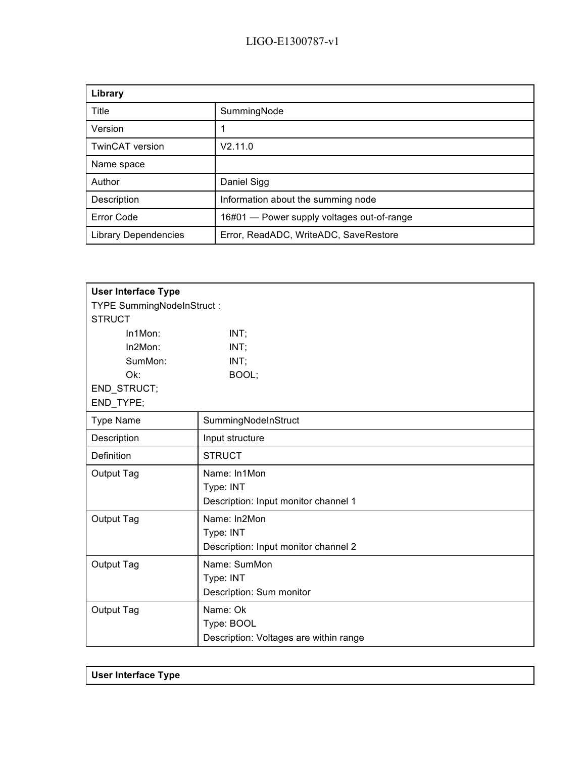| Library                     |                                            |
|-----------------------------|--------------------------------------------|
| Title                       | SummingNode                                |
| Version                     |                                            |
| <b>TwinCAT</b> version      | V2.11.0                                    |
| Name space                  |                                            |
| Author                      | Daniel Sigg                                |
| Description                 | Information about the summing node         |
| <b>Error Code</b>           | 16#01 - Power supply voltages out-of-range |
| <b>Library Dependencies</b> | Error, ReadADC, WriteADC, SaveRestore      |

| <b>User Interface Type</b> |                                        |  |
|----------------------------|----------------------------------------|--|
| TYPE SummingNodeInStruct:  |                                        |  |
| <b>STRUCT</b>              |                                        |  |
| In1Mon:                    | INT;                                   |  |
| In2Mon:                    | INT;                                   |  |
| SumMon:                    | INT;                                   |  |
| Ok:                        | BOOL;                                  |  |
| END_STRUCT;                |                                        |  |
| END_TYPE;                  |                                        |  |
| <b>Type Name</b>           | SummingNodeInStruct                    |  |
| Description                | Input structure                        |  |
| Definition                 | <b>STRUCT</b>                          |  |
| Output Tag                 | Name: In1Mon                           |  |
|                            | Type: INT                              |  |
|                            | Description: Input monitor channel 1   |  |
| Output Tag                 | Name: In2Mon                           |  |
|                            | Type: INT                              |  |
|                            | Description: Input monitor channel 2   |  |
| Output Tag                 | Name: SumMon                           |  |
|                            | Type: INT                              |  |
|                            | Description: Sum monitor               |  |
| Output Tag                 | Name: Ok                               |  |
|                            | Type: BOOL                             |  |
|                            | Description: Voltages are within range |  |

| <b>User Interface Type</b> |  |  |
|----------------------------|--|--|
|                            |  |  |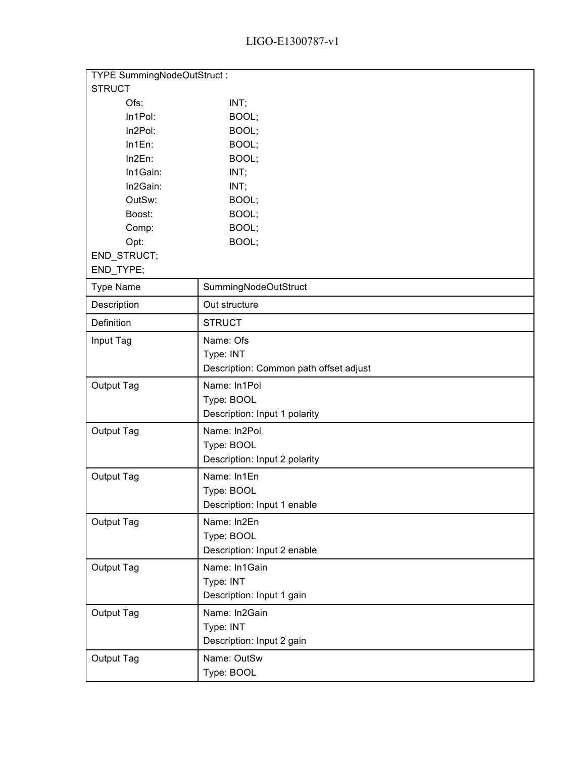## LIGO-E1300787-v1

| TYPE SummingNodeOutStruct: |                                        |  |
|----------------------------|----------------------------------------|--|
| <b>STRUCT</b>              |                                        |  |
| Ofs:                       | INT;                                   |  |
| In1Pol:                    | BOOL;                                  |  |
| In2Pol:                    | BOOL;                                  |  |
| In1En:                     | BOOL;                                  |  |
| In2En:                     | BOOL;                                  |  |
| In1Gain:                   | INT;                                   |  |
| In2Gain:                   | INT;                                   |  |
| OutSw:                     | BOOL;                                  |  |
| Boost:                     | BOOL;                                  |  |
| Comp:                      | BOOL;                                  |  |
| Opt:                       | BOOL;                                  |  |
| END_STRUCT;                |                                        |  |
| END_TYPE;                  |                                        |  |
| <b>Type Name</b>           | SummingNodeOutStruct                   |  |
| Description                | Out structure                          |  |
| Definition                 | <b>STRUCT</b>                          |  |
| Input Tag                  | Name: Ofs                              |  |
|                            | Type: INT                              |  |
|                            | Description: Common path offset adjust |  |
| Output Tag                 | Name: In1Pol                           |  |
|                            | Type: BOOL                             |  |
|                            | Description: Input 1 polarity          |  |
| Output Tag                 | Name: In2Pol                           |  |
|                            | Type: BOOL                             |  |
|                            | Description: Input 2 polarity          |  |
| Output Tag                 | Name: In1En                            |  |
|                            | Type: BOOL                             |  |
|                            | Description: Input 1 enable            |  |
| Output Tag                 | Name: In2En                            |  |
|                            | Type: BOOL                             |  |
|                            | Description: Input 2 enable            |  |
| Output Tag                 | Name: In1Gain                          |  |
|                            | Type: INT                              |  |
|                            | Description: Input 1 gain              |  |
| Output Tag                 | Name: In2Gain                          |  |
|                            | Type: INT                              |  |
|                            | Description: Input 2 gain              |  |
| Output Tag                 | Name: OutSw                            |  |
|                            | Type: BOOL                             |  |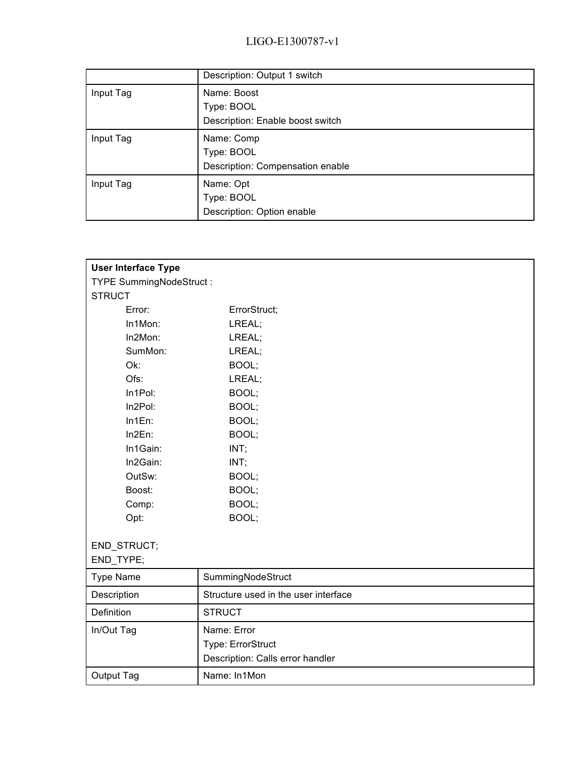|           | Description: Output 1 switch     |
|-----------|----------------------------------|
| Input Tag | Name: Boost                      |
|           | Type: BOOL                       |
|           | Description: Enable boost switch |
| Input Tag | Name: Comp                       |
|           | Type: BOOL                       |
|           | Description: Compensation enable |
| Input Tag | Name: Opt                        |
|           | Type: BOOL                       |
|           | Description: Option enable       |

| <b>User Interface Type</b>     |                                      |
|--------------------------------|--------------------------------------|
| <b>TYPE SummingNodeStruct:</b> |                                      |
| <b>STRUCT</b>                  |                                      |
| Error:                         | ErrorStruct;                         |
| In1Mon:                        | LREAL;                               |
| In2Mon:                        | LREAL;                               |
| SumMon:                        | LREAL;                               |
| Ok:                            | BOOL;                                |
| Ofs:                           | LREAL;                               |
| In1Pol:                        | BOOL;                                |
| In2Pol:                        | BOOL;                                |
| In1En:                         | BOOL;                                |
| In2En:                         | BOOL;                                |
| In1Gain:                       | INT;                                 |
| In2Gain:                       | INT;                                 |
| OutSw:                         | BOOL;                                |
| Boost:                         | BOOL;                                |
| Comp:                          | BOOL;                                |
| Opt:                           | BOOL;                                |
|                                |                                      |
| END_STRUCT;                    |                                      |
| END_TYPE;                      |                                      |
| <b>Type Name</b>               | SummingNodeStruct                    |
| Description                    | Structure used in the user interface |
| Definition                     | <b>STRUCT</b>                        |
| In/Out Tag                     | Name: Error                          |
|                                | Type: ErrorStruct                    |
|                                | Description: Calls error handler     |
| Output Tag                     | Name: In1Mon                         |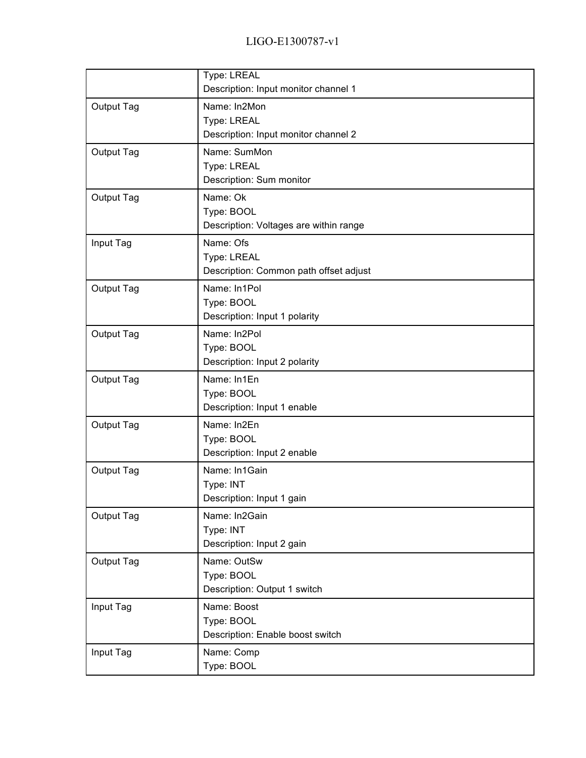|            | Type: LREAL<br>Description: Input monitor channel 1                 |
|------------|---------------------------------------------------------------------|
| Output Tag | Name: In2Mon<br>Type: LREAL<br>Description: Input monitor channel 2 |
| Output Tag | Name: SumMon<br>Type: LREAL<br>Description: Sum monitor             |
| Output Tag | Name: Ok<br>Type: BOOL<br>Description: Voltages are within range    |
| Input Tag  | Name: Ofs<br>Type: LREAL<br>Description: Common path offset adjust  |
| Output Tag | Name: In1Pol<br>Type: BOOL<br>Description: Input 1 polarity         |
| Output Tag | Name: In2Pol<br>Type: BOOL<br>Description: Input 2 polarity         |
| Output Tag | Name: In1En<br>Type: BOOL<br>Description: Input 1 enable            |
| Output Tag | Name: In2En<br>Type: BOOL<br>Description: Input 2 enable            |
| Output Tag | Name: In1Gain<br>Type: INT<br>Description: Input 1 gain             |
| Output Tag | Name: In2Gain<br>Type: INT<br>Description: Input 2 gain             |
| Output Tag | Name: OutSw<br>Type: BOOL<br>Description: Output 1 switch           |
| Input Tag  | Name: Boost<br>Type: BOOL<br>Description: Enable boost switch       |
| Input Tag  | Name: Comp<br>Type: BOOL                                            |